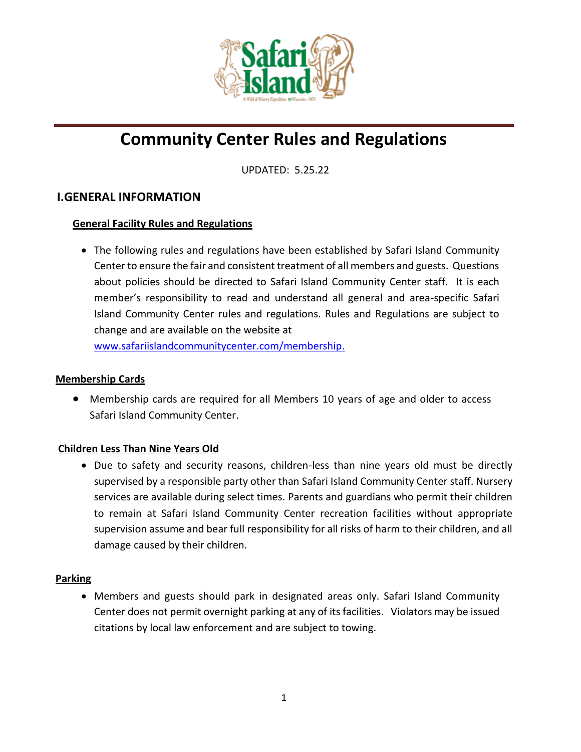

# **Community Center Rules and Regulations**

UPDATED: 5.25.22

# **I.GENERAL INFORMATION**

## **General Facility Rules and Regulations**

• The following rules and regulations have been established by Safari Island Community Center to ensure the fair and consistent treatment of all members and guests. Questions about policies should be directed to Safari Island Community Center staff. It is each member's responsibility to read and understand all general and area-specific Safari Island Community Center rules and regulations. Rules and Regulations are subject to change and are available on the website at

[www.safariislandcommunityc](http://www.safariislandcommunity/)enter.com/membership.

#### **Membership Cards**

• Membership cards are required for all Members 10 years of age and older to access Safari Island Community Center.

## **Children Less Than Nine Years Old**

• Due to safety and security reasons, children-less than nine years old must be directly supervised by a responsible party other than Safari Island Community Center staff. Nursery services are available during select times. Parents and guardians who permit their children to remain at Safari Island Community Center recreation facilities without appropriate supervision assume and bear full responsibility for all risks of harm to their children, and all damage caused by their children.

#### **Parking**

• Members and guests should park in designated areas only. Safari Island Community Center does not permit overnight parking at any of its facilities. Violators may be issued citations by local law enforcement and are subject to towing.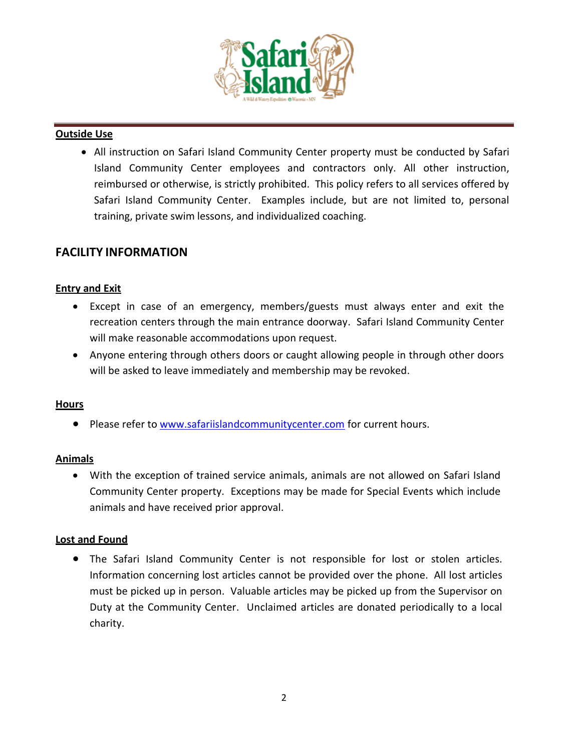

#### **Outside Use**

• All instruction on Safari Island Community Center property must be conducted by Safari Island Community Center employees and contractors only. All other instruction, reimbursed or otherwise, is strictly prohibited. This policy refers to all services offered by Safari Island Community Center. Examples include, but are not limited to, personal training, private swim lessons, and individualized coaching.

# **FACILITY INFORMATION**

## **Entry and Exit**

- Except in case of an emergency, members/guests must always enter and exit the recreation centers through the main entrance doorway. Safari Island Community Center will make reasonable accommodations upon request.
- Anyone entering through others doors or caught allowing people in through other doors will be asked to leave immediately and membership may be revoked.

#### **Hours**

• Please refer to [www.safariislandcommunitycenter.com](http://www.safariislandcommunitycenter.comf/) for current hours.

## **Animals**

• With the exception of trained service animals, animals are not allowed on Safari Island Community Center property. Exceptions may be made for Special Events which include animals and have received prior approval.

#### **Lost and Found**

• The Safari Island Community Center is not responsible for lost or stolen articles. Information concerning lost articles cannot be provided over the phone. All lost articles must be picked up in person. Valuable articles may be picked up from the Supervisor on Duty at the Community Center. Unclaimed articles are donated periodically to a local charity.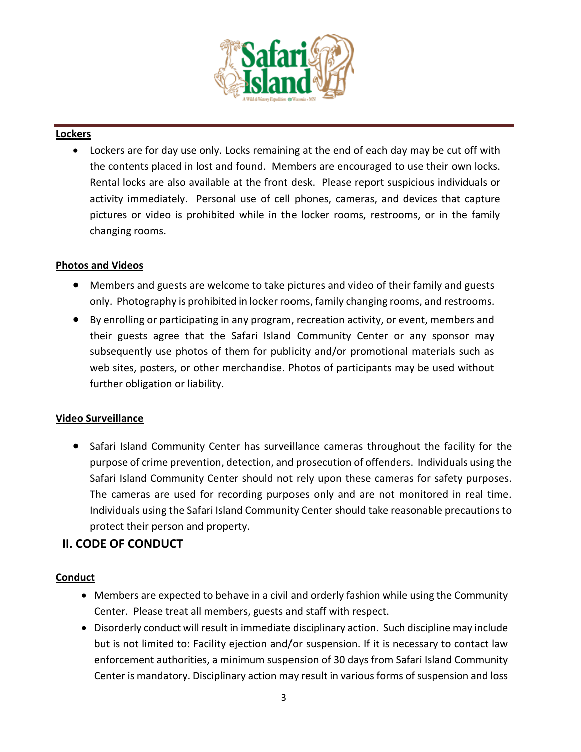

## **Lockers**

• Lockers are for day use only. Locks remaining at the end of each day may be cut off with the contents placed in lost and found. Members are encouraged to use their own locks. Rental locks are also available at the front desk. Please report suspicious individuals or activity immediately. Personal use of cell phones, cameras, and devices that capture pictures or video is prohibited while in the locker rooms, restrooms, or in the family changing rooms.

## **Photos and Videos**

- Members and guests are welcome to take pictures and video of their family and guests only. Photography is prohibited in locker rooms, family changing rooms, and restrooms.
- By enrolling or participating in any program, recreation activity, or event, members and their guests agree that the Safari Island Community Center or any sponsor may subsequently use photos of them for publicity and/or promotional materials such as web sites, posters, or other merchandise. Photos of participants may be used without further obligation or liability.

## **Video Surveillance**

• Safari Island Community Center has surveillance cameras throughout the facility for the purpose of crime prevention, detection, and prosecution of offenders. Individuals using the Safari Island Community Center should not rely upon these cameras for safety purposes. The cameras are used for recording purposes only and are not monitored in real time. Individuals using the Safari Island Community Center should take reasonable precautions to protect their person and property.

# **II. CODE OF CONDUCT**

#### **Conduct**

- Members are expected to behave in a civil and orderly fashion while using the Community Center. Please treat all members, guests and staff with respect.
- Disorderly conduct will result in immediate disciplinary action. Such discipline may include but is not limited to: Facility ejection and/or suspension. If it is necessary to contact law enforcement authorities, a minimum suspension of 30 days from Safari Island Community Center is mandatory. Disciplinary action may result in various forms of suspension and loss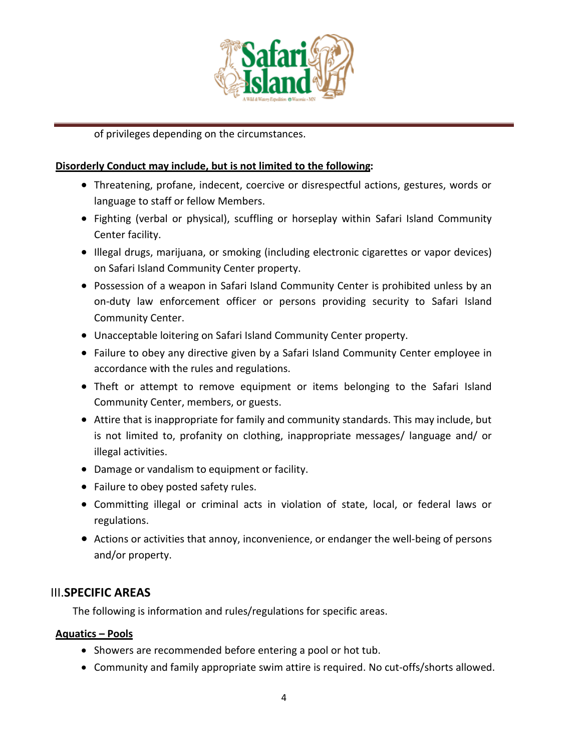

of privileges depending on the circumstances.

## **Disorderly Conduct may include, but is not limited to the following:**

- Threatening, profane, indecent, coercive or disrespectful actions, gestures, words or language to staff or fellow Members.
- Fighting (verbal or physical), scuffling or horseplay within Safari Island Community Center facility.
- Illegal drugs, marijuana, or smoking (including electronic cigarettes or vapor devices) on Safari Island Community Center property.
- Possession of a weapon in Safari Island Community Center is prohibited unless by an on-duty law enforcement officer or persons providing security to Safari Island Community Center.
- Unacceptable loitering on Safari Island Community Center property.
- Failure to obey any directive given by a Safari Island Community Center employee in accordance with the rules and regulations.
- Theft or attempt to remove equipment or items belonging to the Safari Island Community Center, members, or guests.
- Attire that is inappropriate for family and community standards. This may include, but is not limited to, profanity on clothing, inappropriate messages/ language and/ or illegal activities.
- Damage or vandalism to equipment or facility.
- Failure to obey posted safety rules.
- Committing illegal or criminal acts in violation of state, local, or federal laws or regulations.
- Actions or activities that annoy, inconvenience, or endanger the well-being of persons and/or property.

# III.**SPECIFIC AREAS**

The following is information and rules/regulations for specific areas.

## **Aquatics – Pools**

- Showers are recommended before entering a pool or hot tub.
- Community and family appropriate swim attire is required. No cut-offs/shorts allowed.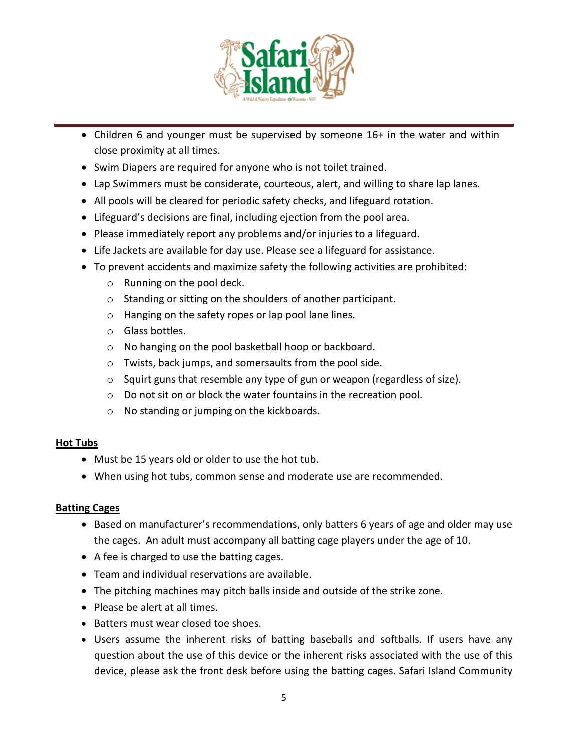

- Children 6 and younger must be supervised by someone 16+ in the water and within close proximity at all times.
- Swim Diapers are required for anyone who is not toilet trained.
- Lap Swimmers must be considerate, courteous, alert, and willing to share lap lanes.
- All pools will be cleared for periodic safety checks, and lifeguard rotation.
- Lifeguard's decisions are final, including ejection from the pool area.
- Please immediately report any problems and/or injuries to a lifeguard.
- Life Jackets are available for day use. Please see a lifeguard for assistance.
- To prevent accidents and maximize safety the following activities are prohibited:
	- o Running on the pool deck.
	- o Standing or sitting on the shoulders of another participant.
	- o Hanging on the safety ropes or lap pool lane lines.
	- o Glass bottles.
	- o No hanging on the pool basketball hoop or backboard.
	- o Twists, back jumps, and somersaults from the pool side.
	- $\circ$  Squirt guns that resemble any type of gun or weapon (regardless of size).
	- o Do not sit on or block the water fountains in the recreation pool.
	- o No standing or jumping on the kickboards.

## **Hot Tubs**

- Must be 15 years old or older to use the hot tub.
- When using hot tubs, common sense and moderate use are recommended.

## **Batting Cages**

- Based on manufacturer's recommendations, only batters 6 years of age and older may use the cages. An adult must accompany all batting cage players under the age of 10.
- A fee is charged to use the batting cages.
- Team and individual reservations are available.
- The pitching machines may pitch balls inside and outside of the strike zone.
- Please be alert at all times.
- Batters must wear closed toe shoes.
- Users assume the inherent risks of batting baseballs and softballs. If users have any question about the use of this device or the inherent risks associated with the use of this device, please ask the front desk before using the batting cages. Safari Island Community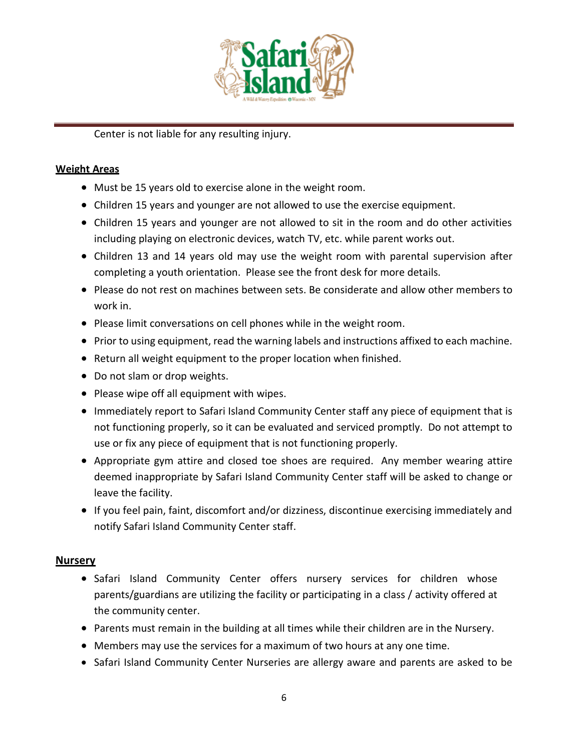

Center is not liable for any resulting injury.

## **Weight Areas**

- Must be 15 years old to exercise alone in the weight room.
- Children 15 years and younger are not allowed to use the exercise equipment.
- Children 15 years and younger are not allowed to sit in the room and do other activities including playing on electronic devices, watch TV, etc. while parent works out.
- Children 13 and 14 years old may use the weight room with parental supervision after completing a youth orientation. Please see the front desk for more details.
- Please do not rest on machines between sets. Be considerate and allow other members to work in.
- Please limit conversations on cell phones while in the weight room.
- Prior to using equipment, read the warning labels and instructions affixed to each machine.
- Return all weight equipment to the proper location when finished.
- Do not slam or drop weights.
- Please wipe off all equipment with wipes.
- Immediately report to Safari Island Community Center staff any piece of equipment that is not functioning properly, so it can be evaluated and serviced promptly. Do not attempt to use or fix any piece of equipment that is not functioning properly.
- Appropriate gym attire and closed toe shoes are required. Any member wearing attire deemed inappropriate by Safari Island Community Center staff will be asked to change or leave the facility.
- If you feel pain, faint, discomfort and/or dizziness, discontinue exercising immediately and notify Safari Island Community Center staff.

## **Nursery**

- Safari Island Community Center offers nursery services for children whose parents/guardians are utilizing the facility or participating in a class / activity offered at the community center.
- Parents must remain in the building at all times while their children are in the Nursery.
- Members may use the services for a maximum of two hours at any one time.
- Safari Island Community Center Nurseries are allergy aware and parents are asked to be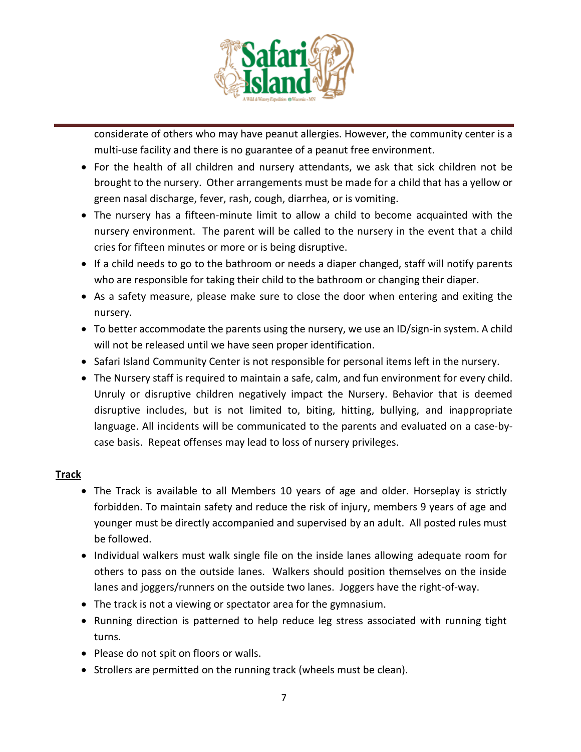

considerate of others who may have peanut allergies. However, the community center is a multi-use facility and there is no guarantee of a peanut free environment.

- For the health of all children and nursery attendants, we ask that sick children not be brought to the nursery. Other arrangements must be made for a child that has a yellow or green nasal discharge, fever, rash, cough, diarrhea, or is vomiting.
- The nursery has a fifteen-minute limit to allow a child to become acquainted with the nursery environment. The parent will be called to the nursery in the event that a child cries for fifteen minutes or more or is being disruptive.
- If a child needs to go to the bathroom or needs a diaper changed, staff will notify parents who are responsible for taking their child to the bathroom or changing their diaper.
- As a safety measure, please make sure to close the door when entering and exiting the nursery.
- To better accommodate the parents using the nursery, we use an ID/sign-in system. A child will not be released until we have seen proper identification.
- Safari Island Community Center is not responsible for personal items left in the nursery.
- The Nursery staff is required to maintain a safe, calm, and fun environment for every child. Unruly or disruptive children negatively impact the Nursery. Behavior that is deemed disruptive includes, but is not limited to, biting, hitting, bullying, and inappropriate language. All incidents will be communicated to the parents and evaluated on a case-bycase basis. Repeat offenses may lead to loss of nursery privileges.

## **Track**

- The Track is available to all Members 10 years of age and older. Horseplay is strictly forbidden. To maintain safety and reduce the risk of injury, members 9 years of age and younger must be directly accompanied and supervised by an adult. All posted rules must be followed.
- Individual walkers must walk single file on the inside lanes allowing adequate room for others to pass on the outside lanes. Walkers should position themselves on the inside lanes and joggers/runners on the outside two lanes. Joggers have the right-of-way.
- The track is not a viewing or spectator area for the gymnasium.
- Running direction is patterned to help reduce leg stress associated with running tight turns.
- Please do not spit on floors or walls.
- Strollers are permitted on the running track (wheels must be clean).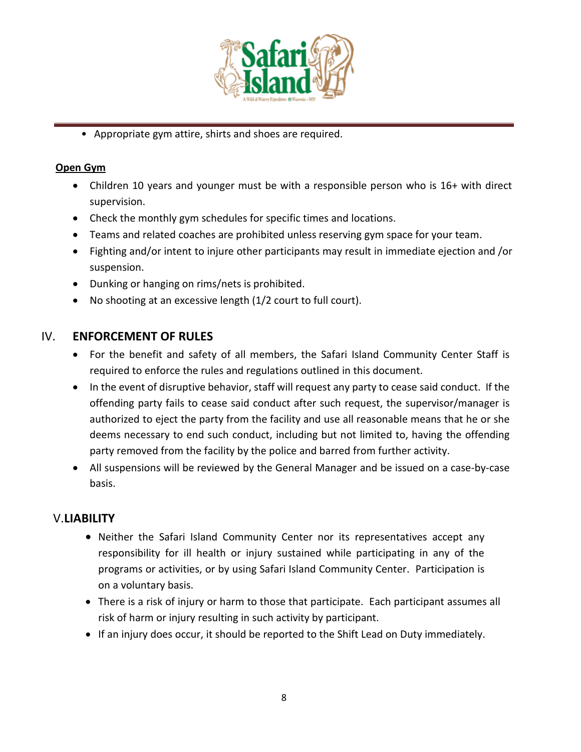

• Appropriate gym attire, shirts and shoes are required.

## **Open Gym**

- Children 10 years and younger must be with a responsible person who is 16+ with direct supervision.
- Check the monthly gym schedules for specific times and locations.
- Teams and related coaches are prohibited unless reserving gym space for your team.
- Fighting and/or intent to injure other participants may result in immediate ejection and /or suspension.
- Dunking or hanging on rims/nets is prohibited.
- No shooting at an excessive length (1/2 court to full court).

## IV. **ENFORCEMENT OF RULES**

- For the benefit and safety of all members, the Safari Island Community Center Staff is required to enforce the rules and regulations outlined in this document.
- In the event of disruptive behavior, staff will request any party to cease said conduct. If the offending party fails to cease said conduct after such request, the supervisor/manager is authorized to eject the party from the facility and use all reasonable means that he or she deems necessary to end such conduct, including but not limited to, having the offending party removed from the facility by the police and barred from further activity.
- All suspensions will be reviewed by the General Manager and be issued on a case-by-case basis.

# V.**LIABILITY**

- Neither the Safari Island Community Center nor its representatives accept any responsibility for ill health or injury sustained while participating in any of the programs or activities, or by using Safari Island Community Center. Participation is on a voluntary basis.
- There is a risk of injury or harm to those that participate. Each participant assumes all risk of harm or injury resulting in such activity by participant.
- If an injury does occur, it should be reported to the Shift Lead on Duty immediately.